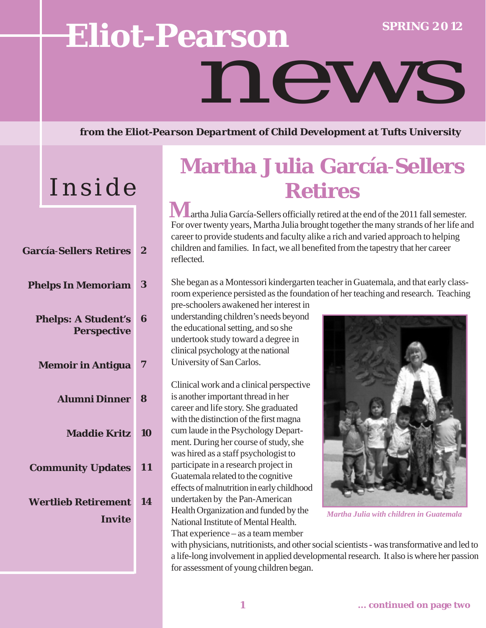# **SPRING 2 0 12 Eliot-Pearson** news

*from the Eliot-Pearson Department of Child Development at Tufts University*

# Inside

| <b>García-Sellers Retires</b>                    | $\bf{2}$ |
|--------------------------------------------------|----------|
| <b>Phelps In Memoriam</b>                        | 3        |
| <b>Phelps: A Student's</b><br><b>Perspective</b> | 6        |
| <b>Memoir in Antigua</b>                         | 7        |
| <b>Alumni Dinner</b>                             | 8        |
| <b>Maddie Kritz</b>                              | 10       |
| <b>Community Updates</b>                         | 11       |
| <b>Wertlieb Retirement</b><br>Invite             | 14       |
|                                                  |          |

## **Martha Julia García**-**Sellers Retires**

**Martha Julia García-Sellers officially retired at the end of the 2011 fall semester.** For over twenty years, Martha Julia brought together the many strands of her life and career to provide students and faculty alike a rich and varied approach to helping children and families. In fact, we all benefited from the tapestry that her career reflected.

She began as a Montessori kindergarten teacher in Guatemala, and that early classroom experience persisted as the foundation of her teaching and research. Teaching

pre-schoolers awakened her interest in understanding children's needs beyond the educational setting, and so she undertook study toward a degree in clinical psychology at the national University of San Carlos.

Clinical work and a clinical perspective is another important thread in her career and life story. She graduated with the distinction of the first magna cum laude in the Psychology Department. During her course of study, she was hired as a staff psychologist to participate in a research project in Guatemala related to the cognitive effects of malnutrition in early childhood undertaken by the Pan-American Health Organization and funded by the National Institute of Mental Health. That experience – as a team member



*Martha Julia with children in Guatemala*

with physicians, nutritionists, and other social scientists - was transformative and led to a life-long involvement in applied developmental research. It also is where her passion for assessment of young children began.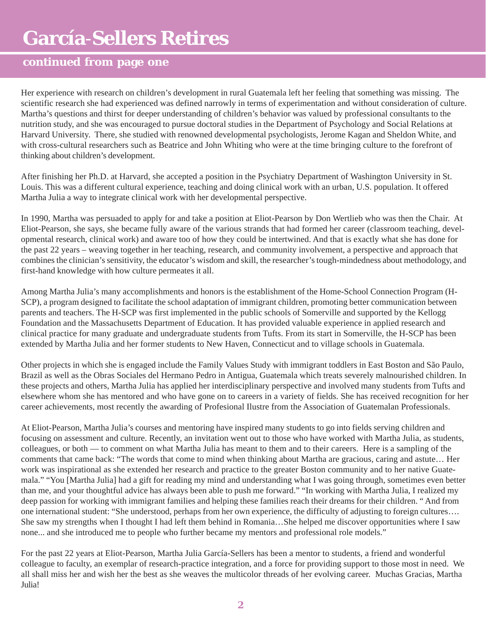### **continued from page one**

Her experience with research on children's development in rural Guatemala left her feeling that something was missing. The scientific research she had experienced was defined narrowly in terms of experimentation and without consideration of culture. Martha's questions and thirst for deeper understanding of children's behavior was valued by professional consultants to the nutrition study, and she was encouraged to pursue doctoral studies in the Department of Psychology and Social Relations at Harvard University. There, she studied with renowned developmental psychologists, Jerome Kagan and Sheldon White, and with cross-cultural researchers such as Beatrice and John Whiting who were at the time bringing culture to the forefront of thinking about children's development.

After finishing her Ph.D. at Harvard, she accepted a position in the Psychiatry Department of Washington University in St. Louis. This was a different cultural experience, teaching and doing clinical work with an urban, U.S. population. It offered Martha Julia a way to integrate clinical work with her developmental perspective.

In 1990, Martha was persuaded to apply for and take a position at Eliot-Pearson by Don Wertlieb who was then the Chair. At Eliot-Pearson, she says, she became fully aware of the various strands that had formed her career (classroom teaching, developmental research, clinical work) and aware too of how they could be intertwined. And that is exactly what she has done for the past 22 years – weaving together in her teaching, research, and community involvement, a perspective and approach that combines the clinician's sensitivity, the educator's wisdom and skill, the researcher's tough-mindedness about methodology, and first-hand knowledge with how culture permeates it all.

Among Martha Julia's many accomplishments and honors is the establishment of the Home-School Connection Program (H-SCP), a program designed to facilitate the school adaptation of immigrant children, promoting better communication between parents and teachers. The H-SCP was first implemented in the public schools of Somerville and supported by the Kellogg Foundation and the Massachusetts Department of Education. It has provided valuable experience in applied research and clinical practice for many graduate and undergraduate students from Tufts. From its start in Somerville, the H-SCP has been extended by Martha Julia and her former students to New Haven, Connecticut and to village schools in Guatemala.

Other projects in which she is engaged include the Family Values Study with immigrant toddlers in East Boston and São Paulo, Brazil as well as the Obras Sociales del Hermano Pedro in Antigua, Guatemala which treats severely malnourished children. In these projects and others, Martha Julia has applied her interdisciplinary perspective and involved many students from Tufts and elsewhere whom she has mentored and who have gone on to careers in a variety of fields. She has received recognition for her career achievements, most recently the awarding of Profesional Ilustre from the Association of Guatemalan Professionals.

At Eliot-Pearson, Martha Julia's courses and mentoring have inspired many students to go into fields serving children and focusing on assessment and culture. Recently, an invitation went out to those who have worked with Martha Julia, as students, colleagues, or both — to comment on what Martha Julia has meant to them and to their careers. Here is a sampling of the comments that came back: "The words that come to mind when thinking about Martha are gracious, caring and astute… Her work was inspirational as she extended her research and practice to the greater Boston community and to her native Guatemala." "You [Martha Julia] had a gift for reading my mind and understanding what I was going through, sometimes even better than me, and your thoughtful advice has always been able to push me forward." "In working with Martha Julia, I realized my deep passion for working with immigrant families and helping these families reach their dreams for their children. " And from one international student: "She understood, perhaps from her own experience, the difficulty of adjusting to foreign cultures…. She saw my strengths when I thought I had left them behind in Romania…She helped me discover opportunities where I saw none... and she introduced me to people who further became my mentors and professional role models."

For the past 22 years at Eliot-Pearson, Martha Julia García-Sellers has been a mentor to students, a friend and wonderful colleague to faculty, an exemplar of research-practice integration, and a force for providing support to those most in need. We all shall miss her and wish her the best as she weaves the multicolor threads of her evolving career. Muchas Gracias, Martha Julia!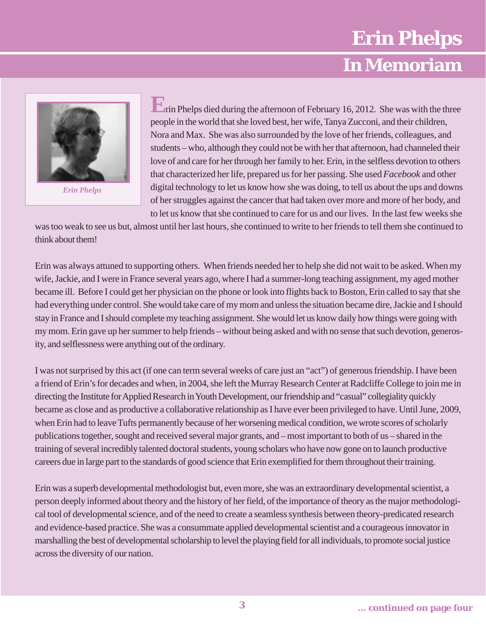## **Erin Phelps**

### **E-P Faculty share their thoughts on David Elkind In Memoriam**



*Erin Phelps*

people in the world that she loved best, her wife, Tanya Zucconi, and their children, Nora and Max. She was also surrounded by the love of her friends, colleagues, and students – who, although they could not be with her that afternoon, had channeled their love of and care for her through her family to her. Erin, in the selfless devotion to others that characterized her life, prepared us for her passing. She used *Facebook* and other digital technology to let us know how she was doing, to tell us about the ups and downs of her struggles against the cancer that had taken over more and more of her body, and to let us know that she continued to care for us and our lives. In the last few weeks she **E**rin Phelps died during the afternoon of February 16, 2012. She was with the three

was too weak to see us but, almost until her last hours, she continued to write to her friends to tell them she continued to think about them!

Erin was always attuned to supporting others. When friends needed her to help she did not wait to be asked. When my wife, Jackie, and I were in France several years ago, where I had a summer-long teaching assignment, my aged mother became ill. Before I could get her physician on the phone or look into flights back to Boston, Erin called to say that she had everything under control. She would take care of my mom and unless the situation became dire, Jackie and I should stay in France and I should complete my teaching assignment. She would let us know daily how things were going with my mom. Erin gave up her summer to help friends – without being asked and with no sense that such devotion, generosity, and selflessness were anything out of the ordinary.

I was not surprised by this act (if one can term several weeks of care just an "act") of generous friendship. I have been a friend of Erin's for decades and when, in 2004, she left the Murray Research Center at Radcliffe College to join me in directing the Institute for Applied Research in Youth Development, our friendship and "casual" collegiality quickly became as close and as productive a collaborative relationship as I have ever been privileged to have. Until June, 2009, when Erin had to leave Tufts permanently because of her worsening medical condition, we wrote scores of scholarly publications together, sought and received several major grants, and – most important to both of us – shared in the training of several incredibly talented doctoral students, young scholars who have now gone on to launch productive careers due in large part to the standards of good science that Erin exemplified for them throughout their training.

Erin was a superb developmental methodologist but, even more, she was an extraordinary developmental scientist, a person deeply informed about theory and the history of her field, of the importance of theory as the major methodological tool of developmental science, and of the need to create a seamless synthesis between theory-predicated research and evidence-based practice. She was a consummate applied developmental scientist and a courageous innovator in marshalling the best of developmental scholarship to level the playing field for all individuals, to promote social justice across the diversity of our nation.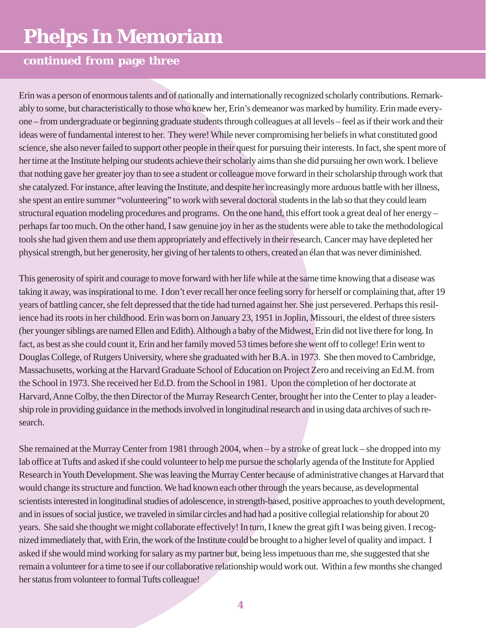# **Phelps In Memoriam**

### **continued from page three**

Erin was a person of enormous talents and of nationally and internationally recognized scholarly contributions. Remarkably to some, but characteristically to those who knew her, Erin's demeanor was marked by humility. Erin made everyone – from undergraduate or beginning graduate students through colleagues at all levels – feel as if their work and their ideas were of fundamental interest to her. They were! While never compromising her beliefs in what constituted good science, she also never failed to support other people in their quest for pursuing their interests. In fact, she spent more of her time at the Institute helping our students achieve their scholarly aims than she did pursuing her own work. I believe that nothing gave her greater joy than to see a student or colleague move forward in their scholarship through work that she catalyzed. For instance, after leaving the Institute, and despite her increasingly more arduous battle with her illness, she spent an entire summer "volunteering" to work with several doctoral students in the lab so that they could learn structural equation modeling procedures and programs. On the one hand, this effort took a great deal of her energy – perhaps far too much. On the other hand, I saw genuine joy in her as the students were able to take the methodological tools she had given them and use them appropriately and effectively in their research. Cancer may have depleted her physical strength, but her generosity, her giving of her talents to others, created an élan that was never diminished.

This generosity of spirit and courage to move forward with her life while at the same time knowing that a disease was taking it away, was inspirational to me. I don't ever recall her once feeling sorry for herself or complaining that, after 19 years of battling cancer, she felt depressed that the tide had turned against her. She just persevered. Perhaps this resilience had its roots in her childhood. Erin was born on January 23, 1951 in Joplin, Missouri, the eldest of three sisters (her younger siblings are named Ellen and Edith). Although a baby of the Midwest, Erin did not live there for long. In fact, as best as she could count it, Erin and her family moved 53 times before she went off to college! Erin went to Douglas College, of Rutgers University, where she graduated with her B.A. in 1973. She then moved to Cambridge, Massachusetts, working at the Harvard Graduate School of Education on Project Zero and receiving an Ed.M. from the School in 1973. She received her Ed.D. from the School in 1981. Upon the completion of her doctorate at Harvard, Anne Colby, the then Director of the Murray Research Center, brought her into the Center to play a leadership role in providing guidance in the methods involved in longitudinal research and in using data archives of such research.

She remained at the Murray Center from 1981 through 2004, when – by a stroke of great luck – she dropped into my lab office at Tufts and asked if she could volunteer to help me pursue the scholarly agenda of the Institute for Applied Research in Youth Development. She was leaving the Murray Center because of administrative changes at Harvard that would change its structure and function. We had known each other through the years because, as developmental scientists interested in longitudinal studies of adolescence, in strength-based, positive approaches to youth development, and in issues of social justice, we traveled in similar circles and had had a positive collegial relationship for about 20 years. She said she thought we might collaborate effectively! In turn, I knew the great gift I was being given. I recognized immediately that, with Erin, the work of the Institute could be brought to a higher level of quality and impact. I asked if she would mind working for salary as my partner but, being less impetuous than me, she suggested that she remain a volunteer for a time to see if our collaborative relationship would work out. Within a few months she changed her status from volunteer to formal Tufts colleague!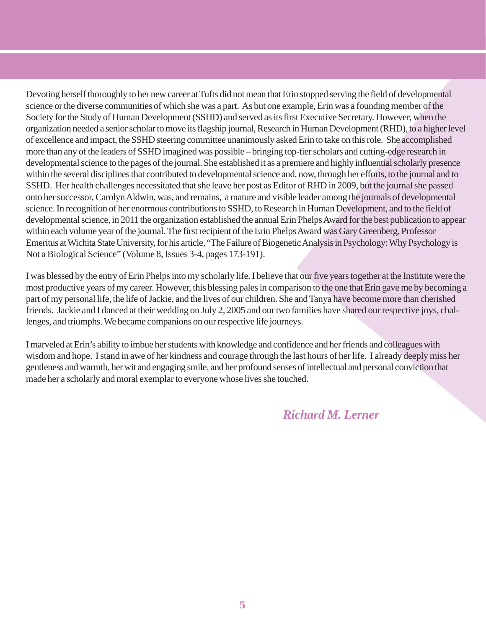Devoting herself thoroughly to her new career at Tufts did not mean that Erin stopped serving the field of developmental science or the diverse communities of which she was a part. As but one example, Erin was a founding member of the Society for the Study of Human Development (SSHD) and served as its first Executive Secretary. However, when the organization needed a senior scholar to move its flagship journal, Research in Human Development (RHD), to a higher level of excellence and impact, the SSHD steering committee unanimously asked Erin to take on this role. She accomplished more than any of the leaders of SSHD imagined was possible – bringing top-tier scholars and cutting-edge research in developmental science to the pages of the journal. She established it as a premiere and highly influential scholarly presence within the several disciplines that contributed to developmental science and, now, through her efforts, to the journal and to SSHD. Her health challenges necessitated that she leave her post as Editor of RHD in 2009, but the journal she passed onto her successor, Carolyn Aldwin, was, and remains, a mature and visible leader among the journals of developmental science. In recognition of her enormous contributions to SSHD, to Research in Human Development, and to the field of developmental science, in 2011 the organization established the annual Erin Phelps Award for the best publication to appear within each volume year of the journal. The first recipient of the Erin Phelps Award was Gary Greenberg, Professor Emeritus at Wichita State University, for his article, "The Failure of Biogenetic Analysis in Psychology: Why Psychology is Not a Biological Science" (Volume 8, Issues 3-4, pages 173-191).

I was blessed by the entry of Erin Phelps into my scholarly life. I believe that our five years together at the Institute were the most productive years of my career. However, this blessing pales in comparison to the one that Erin gave me by becoming a part of my personal life, the life of Jackie, and the lives of our children. She and Tanya have become more than cherished friends. Jackie and I danced at their wedding on July 2, 2005 and our two families have shared our respective joys, challenges, and triumphs. We became companions on our respective life journeys.

I marveled at Erin's ability to imbue her students with knowledge and confidence and her friends and colleagues with wisdom and hope. I stand in awe of her kindness and courage through the last hours of her life. I already deeply miss her gentleness and warmth, her wit and engaging smile, and her profound senses of intellectual and personal conviction that made her a scholarly and moral exemplar to everyone whose lives she touched.

*Richard M. Lerner*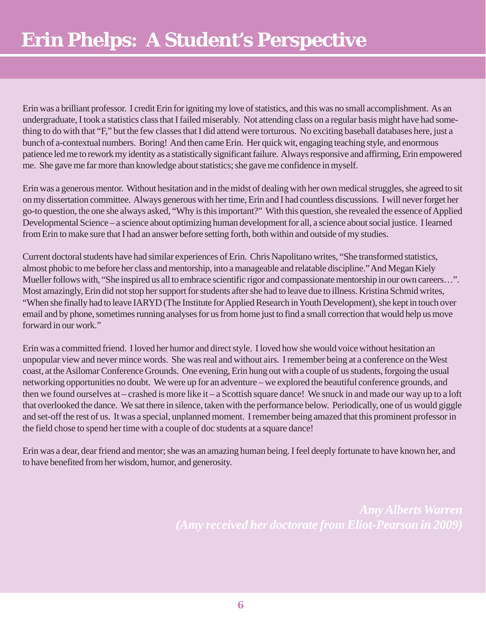Erin was a brilliant professor. I credit Erin for igniting my love of statistics, and this was no small accomplishment. As an undergraduate, I took a statistics class that I failed miserably. Not attending class on a regular basis might have had something to do with that "F," but the few classes that I did attend were torturous. No exciting baseball databases here, just a bunch of a-contextual numbers. Boring! And then came Erin. Her quick wit, engaging teaching style, and enormous patience led me to rework my identity as a statistically significant failure. Always responsive and affirming, Erin empowered me. She gave me far more than knowledge about statistics; she gave me confidence in myself.

Erin was a generous mentor. Without hesitation and in the midst of dealing with her own medical struggles, she agreed to sit on my dissertation committee. Always generous with her time, Erin and I had countless discussions. I will never forget her go-to question, the one she always asked, "Why is this important?" With this question, she revealed the essence of Applied Developmental Science – a science about optimizing human development for all, a science about social justice. I learned from Erin to make sure that I had an answer before setting forth, both within and outside of my studies.

Current doctoral students have had similar experiences of Erin. Chris Napolitano writes, "She transformed statistics, almost phobic to me before her class and mentorship, into a manageable and relatable discipline." And Megan Kiely Mueller follows with, "She inspired us all to embrace scientific rigor and compassionate mentorship in our own careers…". Most amazingly, Erin did not stop her support for students after she had to leave due to illness. Kristina Schmid writes, "When she finally had to leave IARYD (The Institute for Applied Research in Youth Development), she kept in touch over email and by phone, sometimes running analyses for us from home just to find a small correction that would help us move forward in our work."

Erin was a committed friend. I loved her humor and direct style. I loved how she would voice without hesitation an unpopular view and never mince words. She was real and without airs. I remember being at a conference on the West coast, at the Asilomar Conference Grounds. One evening, Erin hung out with a couple of us students, forgoing the usual networking opportunities no doubt. We were up for an adventure – we explored the beautiful conference grounds, and then we found ourselves at – crashed is more like it – a Scottish square dance! We snuck in and made our way up to a loft that overlooked the dance. We sat there in silence, taken with the performance below. Periodically, one of us would giggle and set-off the rest of us. It was a special, unplanned moment. I remember being amazed that this prominent professor in the field chose to spend her time with a couple of doc students at a square dance!

Erin was a dear, dear friend and mentor; she was an amazing human being. I feel deeply fortunate to have known her, and to have benefited from her wisdom, humor, and generosity.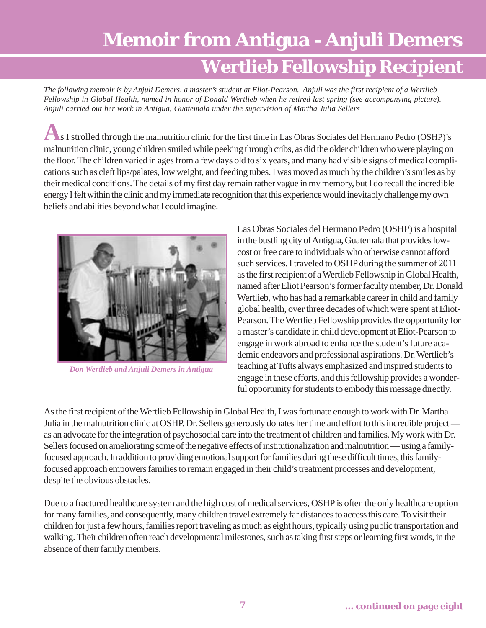# **Memoir from Antigua - Anjuli Demers Wertlieb Fellowship Recipient**

*The following memoir is by Anjuli Demers, a master's student at Eliot-Pearson. Anjuli was the first recipient of a Wertlieb Fellowship in Global Health, named in honor of Donald Wertlieb when he retired last spring (see accompanying picture). Anjuli carried out her work in Antigua, Guatemala under the supervision of Martha Julia Sellers*

malnutrition clinic, young children smiled while peeking through cribs, as did the older children who were playing on the floor. The children varied in ages from a few days old to six years, and many had visible signs of medical complications such as cleft lips/palates, low weight, and feeding tubes. I was moved as much by the children's smiles as by their medical conditions. The details of my first day remain rather vague in my memory, but I do recall the incredible energy I felt within the clinic and my immediate recognition that this experience would inevitably challenge my own beliefs and abilities beyond what I could imagine. As I strolled through the malnutrition clinic for the first time in Las Obras Sociales del Hermano Pedro (OSHP)'s



*Don Wertlieb and Anjuli Demers in Antigua*

Las Obras Sociales del Hermano Pedro (OSHP) is a hospital in the bustling city of Antigua, Guatemala that provides lowcost or free care to individuals who otherwise cannot afford such services. I traveled to OSHP during the summer of 2011 as the first recipient of a Wertlieb Fellowship in Global Health, named after Eliot Pearson's former faculty member, Dr. Donald Wertlieb, who has had a remarkable career in child and family global health, over three decades of which were spent at Eliot-Pearson. The Wertlieb Fellowship provides the opportunity for a master's candidate in child development at Eliot-Pearson to engage in work abroad to enhance the student's future academic endeavors and professional aspirations. Dr. Wertlieb's teaching at Tufts always emphasized and inspired students to engage in these efforts, and this fellowship provides a wonderful opportunity for students to embody this message directly.

As the first recipient of the Wertlieb Fellowship in Global Health, I was fortunate enough to work with Dr. Martha Julia in the malnutrition clinic at OSHP. Dr. Sellers generously donates her time and effort to this incredible project as an advocate for the integration of psychosocial care into the treatment of children and families. My work with Dr. Sellers focused on ameliorating some of the negative effects of institutionalization and malnutrition — using a familyfocused approach. In addition to providing emotional support for families during these difficult times, this familyfocused approach empowers families to remain engaged in their child's treatment processes and development, despite the obvious obstacles.

Due to a fractured healthcare system and the high cost of medical services, OSHP is often the only healthcare option for many families, and consequently, many children travel extremely far distances to access this care. To visit their children for just a few hours, families report traveling as much as eight hours, typically using public transportation and walking. Their children often reach developmental milestones, such as taking first steps or learning first words, in the absence of their family members.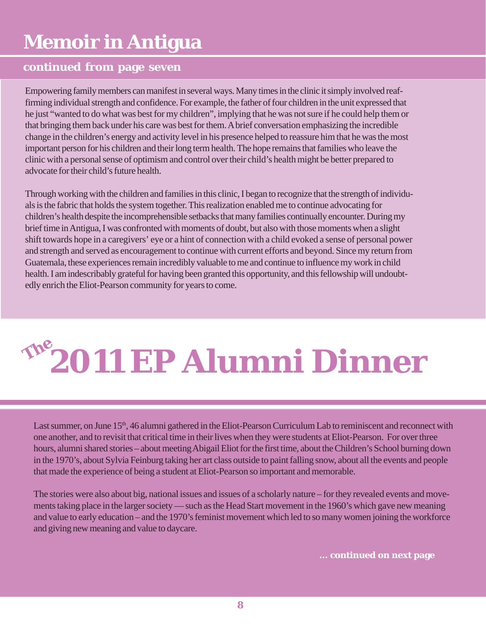# **Memoir in Antigua**

### **continued from page seven**

Empowering family members can manifest in several ways. Many times in the clinic it simply involved reaffirming individual strength and confidence. For example, the father of four children in the unit expressed that he just "wanted to do what was best for my children", implying that he was not sure if he could help them or that bringing them back under his care was best for them. A brief conversation emphasizing the incredible change in the children's energy and activity level in his presence helped to reassure him that he was the most important person for his children and their long term health. The hope remains that families who leave the clinic with a personal sense of optimism and control over their child's health might be better prepared to advocate for their child's future health.

Through working with the children and families in this clinic, I began to recognize that the strength of individuals is the fabric that holds the system together. This realization enabled me to continue advocating for children's health despite the incomprehensible setbacks that many families continually encounter. During my brief time in Antigua, I was confronted with moments of doubt, but also with those moments when a slight shift towards hope in a caregivers' eye or a hint of connection with a child evoked a sense of personal power and strength and served as encouragement to continue with current efforts and beyond. Since my return from Guatemala, these experiences remain incredibly valuable to me and continue to influence my work in child health. I am indescribably grateful for having been granted this opportunity, and this fellowship will undoubtedly enrich the Eliot-Pearson community for years to come.

# **2011 EP Alumni Dinner The**

Last summer, on June 15<sup>th</sup>, 46 alumni gathered in the Eliot-Pearson Curriculum Lab to reminiscent and reconnect with one another, and to revisit that critical time in their lives when they were students at Eliot-Pearson. For over three hours, alumni shared stories – about meeting Abigail Eliot for the first time, about the Children's School burning down in the 1970's, about Sylvia Feinburg taking her art class outside to paint falling snow, about all the events and people that made the experience of being a student at Eliot-Pearson so important and memorable.

The stories were also about big, national issues and issues of a scholarly nature – for they revealed events and movements taking place in the larger society — such as the Head Start movement in the 1960's which gave new meaning and value to early education – and the 1970's feminist movement which led to so many women joining the workforce and giving new meaning and value to daycare.

**... continued on next page**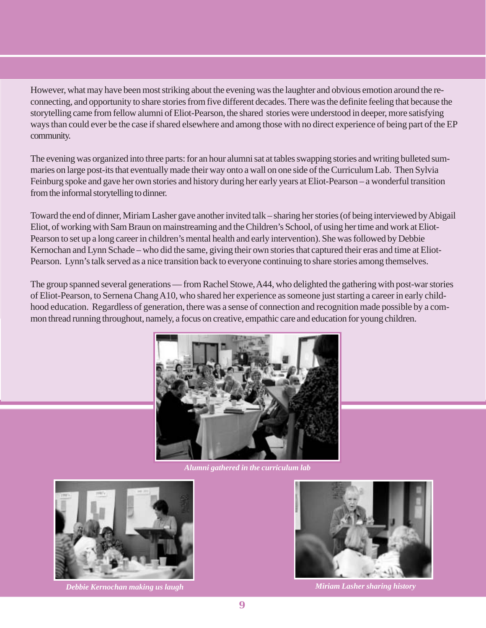However, what may have been most striking about the evening was the laughter and obvious emotion around the reconnecting, and opportunity to share stories from five different decades. There was the definite feeling that because the storytelling came from fellow alumni of Eliot-Pearson, the shared stories were understood in deeper, more satisfying ways than could ever be the case if shared elsewhere and among those with no direct experience of being part of the EP community.

The evening was organized into three parts: for an hour alumni sat at tables swapping stories and writing bulleted summaries on large post-its that eventually made their way onto a wall on one side of the Curriculum Lab. Then Sylvia Feinburg spoke and gave her own stories and history during her early years at Eliot-Pearson – a wonderful transition from the informal storytelling to dinner.

Toward the end of dinner, Miriam Lasher gave another invited talk – sharing her stories (of being interviewed by Abigail Eliot, of working with Sam Braun on mainstreaming and the Children's School, of using her time and work at Eliot-Pearson to set up a long career in children's mental health and early intervention). She was followed by Debbie Kernochan and Lynn Schade – who did the same, giving their own stories that captured their eras and time at Eliot-Pearson. Lynn's talk served as a nice transition back to everyone continuing to share stories among themselves.

The group spanned several generations — from Rachel Stowe, A44, who delighted the gathering with post-war stories of Eliot-Pearson, to Sernena Chang A10, who shared her experience as someone just starting a career in early childhood education. Regardless of generation, there was a sense of connection and recognition made possible by a common thread running throughout, namely, a focus on creative, empathic care and education for young children.



*Alumni gathered in the curriculum lab*



*Debbie Kernochan making us laugh Miriam Lasher sharing history*

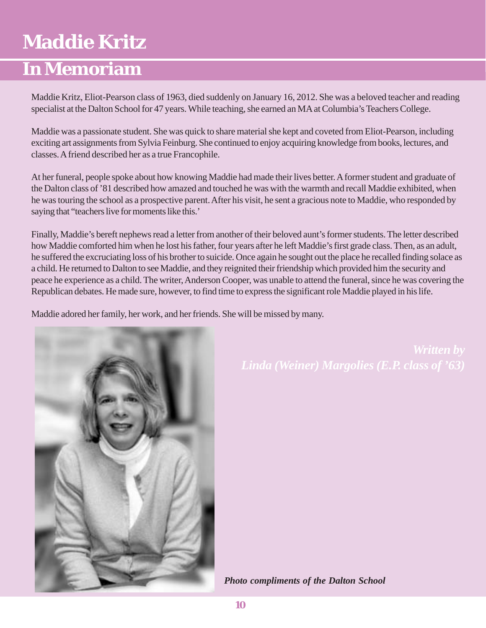### **Maddie Kritz**

### **In Memoriam**

Maddie Kritz, Eliot-Pearson class of 1963, died suddenly on January 16, 2012. She was a beloved teacher and reading specialist at the Dalton School for 47 years. While teaching, she earned an MA at Columbia's Teachers College.

Maddie was a passionate student. She was quick to share material she kept and coveted from Eliot-Pearson, including exciting art assignments from Sylvia Feinburg. She continued to enjoy acquiring knowledge from books, lectures, and classes. A friend described her as a true Francophile.

At her funeral, people spoke about how knowing Maddie had made their lives better. A former student and graduate of the Dalton class of '81 described how amazed and touched he was with the warmth and recall Maddie exhibited, when he was touring the school as a prospective parent. After his visit, he sent a gracious note to Maddie, who responded by saying that "teachers live for moments like this.'

Finally, Maddie's bereft nephews read a letter from another of their beloved aunt's former students. The letter described how Maddie comforted him when he lost his father, four years after he left Maddie's first grade class. Then, as an adult, he suffered the excruciating loss of his brother to suicide. Once again he sought out the place he recalled finding solace as a child. He returned to Dalton to see Maddie, and they reignited their friendship which provided him the security and peace he experience as a child. The writer, Anderson Cooper, was unable to attend the funeral, since he was covering the Republican debates. He made sure, however, to find time to express the significant role Maddie played in his life.

Maddie adored her family, her work, and her friends. She will be missed by many.



*Written by*

*Photo compliments of the Dalton School*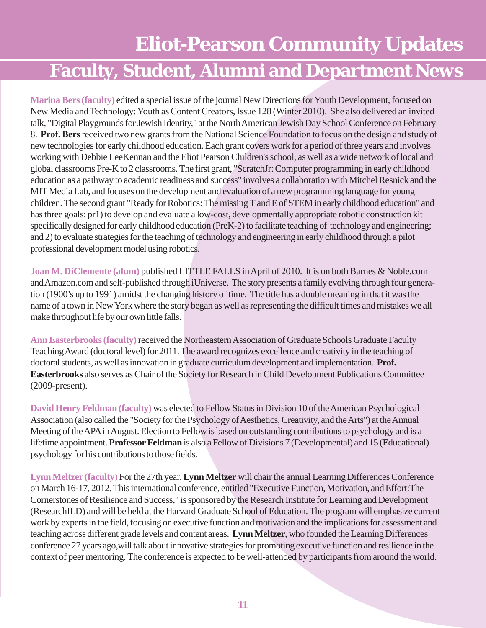## **Eliot-Pearson Community Updates Faculty, Student, Alumni and Department News**

**Marina Bers (faculty)** edited a special issue of the journal New Directions for Youth Development, focused on New Media and Technology: Youth as Content Creators, Issue 128 (Winter 2010). She also delivered an invited talk, "Digital Playgrounds for Jewish Identity," at the North American Jewish Day School Conference on February 8. **Prof. Bers** received two new grants from the National Science Foundation to focus on the design and study of new technologies for early childhood education. Each grant covers work for a period of three years and involves working with Debbie LeeKennan and the Eliot Pearson Children's school, as well as a wide network of local and global classrooms Pre-K to 2 classrooms. The first grant, "ScratchJr: Computer programming in early childhood education as a pathway to academic readiness and success" involves a collaboration with Mitchel Resnick and the MIT Media Lab, and focuses on the development and evaluation of a new programming language for young children. The second grant "Ready for Robotics: The missing T and E of STEM in early childhood education" and has three goals: pr1) to develop and evaluate a low-cost, developmentally appropriate robotic construction kit specifically designed for early childhood education (PreK-2) to facilitate teaching of technology and engineering; and 2) to evaluate strategies for the teaching of technology and engineering in early childhood through a pilot professional development model using robotics.

**Joan M. DiClemente (alum)** published LITTLE FALLS in April of 2010. It is on both Barnes & Noble.com and Amazon.com and self-published through iUniverse. The story presents a family evolving through four generation (1900's up to 1991) amidst the changing history of time. The title has a double meaning in that it was the name of a town in New York where the story began as well as representing the difficult times and mistakes we all make throughout life by our own little falls.

**Ann Easterbrooks(faculty)** received the Northeastern Association of Graduate Schools Graduate Faculty Teaching Award (doctoral level) for 2011. The award recognizes excellence and creativity in the teaching of doctoral students, as well as innovation in graduate curriculum development and implementation. **Prof. Easterbrooks** also serves as Chair of the Society for Research in Child Development Publications Committee (2009-present).

**David Henry Feldman (faculty)** was elected to Fellow Status in Division 10 of the American Psychological Association (also called the "Society for the Psychology of Aesthetics, Creativity, and the Arts") at the Annual Meeting of the APA in August. Election to Fellow is based on outstanding contributions to psychology and is a lifetime appointment. **Professor Feldman** is also a Fellow of Divisions 7 (Developmental) and 15 (Educational) psychology for his contributions to those fields.

**Lynn Meltzer (faculty)** For the 27th year, **Lynn Meltzer** will chair the annual Learning Differences Conference on March 16-17, 2012. This international conference, entitled "Executive Function, Motivation, and Effort:The Cornerstones of Resilience and Success," is sponsored by the Research Institute for Learning and Development (ResearchILD) and will be held at the Harvard Graduate School of Education. The program will emphasize current work by experts in the field, focusing on executive function and motivation and the implications for assessment and teaching across different grade levels and content areas. **Lynn Meltzer**, who founded the Learning Differences conference 27 years ago,will talk about innovative strategies for promoting executive function and resilience in the context of peer mentoring. The conference is expected to be well-attended by participants from around the world.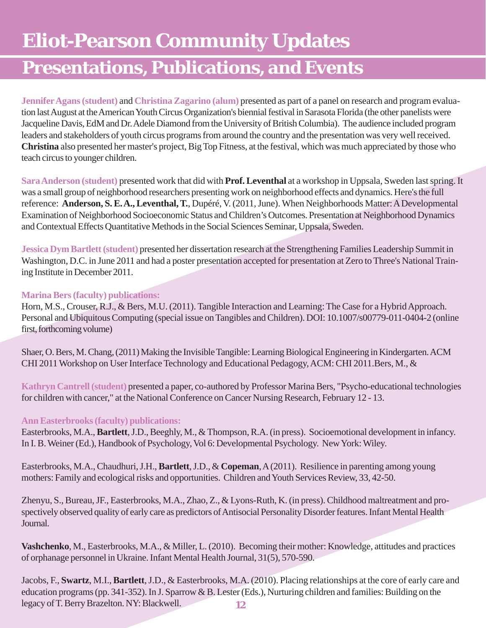# **Eliot-Pearson Community Updates**

### **Presentations, Publications, and Events**

**Jennifer Agans (student)** and **Christina Zagarino (alum)** presented as part of a panel on research and program evaluation last August at the American Youth Circus Organization's biennial festival in Sarasota Florida (the other panelists were Jacqueline Davis, EdM and Dr. Adele Diamond from the University of British Columbia). The audience included program leaders and stakeholders of youth circus programs from around the country and the presentation was very well received. **Christina** also presented her master's project, Big Top Fitness, at the festival, which was much appreciated by those who teach circus to younger children.

**Sara Anderson (student)** presented work that did with **Prof. Leventhal** at a workshop in Uppsala, Sweden last spring. It was a small group of neighborhood researchers presenting work on neighborhood effects and dynamics. Here's the full reference: **Anderson, S. E. A., Leventhal, T.**, Dupéré, V. (2011, June). When Neighborhoods Matter: A Developmental Examination of Neighborhood Socioeconomic Status and Children's Outcomes. Presentation at Neighborhood Dynamics and Contextual Effects Quantitative Methods in the Social Sciences Seminar, Uppsala, Sweden.

**Jessica Dym Bartlett (student)** presented her dissertation research at the Strengthening Families Leadership Summit in Washington, D.C. in June 2011 and had a poster presentation accepted for presentation at Zero to Three's National Training Institute in December 2011.

#### **Marina Bers (faculty) publications:**

Horn, M.S., Crouser, R.J., & Bers, M.U. (2011). Tangible Interaction and Learning: The Case for a Hybrid Approach. Personal and Ubiquitous Computing (special issue on Tangibles and Children). DOI: 10.1007/s00779-011-0404-2 (online first, forthcoming volume)

Shaer, O. Bers, M. Chang, (2011) Making the Invisible Tangible: Learning Biological Engineering in Kindergarten. ACM CHI 2011 Workshop on User Interface Technology and Educational Pedagogy, ACM: CHI 2011.Bers, M., &

**Kathryn Cantrell (student)** presented a paper, co-authored by Professor Marina Bers, "Psycho-educational technologies for children with cancer," at the National Conference on Cancer Nursing Research, February 12 - 13.

#### **Ann Easterbrooks (faculty) publications:**

Easterbrooks, M.A., **Bartlett**, J.D., Beeghly, M., & Thompson, R.A. (in press). Socioemotional development in infancy. In I. B. Weiner (Ed.), Handbook of Psychology, Vol 6: Developmental Psychology. New York: Wiley.

Easterbrooks, M.A., Chaudhuri, J.H., **Bartlett**, J.D., & **Copeman**, A (2011). Resilience in parenting among young mothers: Family and ecological risks and opportunities. Children and Youth Services Review, 33, 42-50.

Zhenyu, S., Bureau, JF., Easterbrooks, M.A., Zhao, Z., & Lyons-Ruth, K. (in press). Childhood maltreatment and prospectively observed quality of early care as predictors of Antisocial Personality Disorder features. Infant Mental Health Journal.

**Vashchenko**, M., Easterbrooks, M.A., & Miller, L. (2010). Becoming their mother: Knowledge, attitudes and practices of orphanage personnel in Ukraine. Infant Mental Health Journal, 31(5), 570-590.

**12** Jacobs, F., **Swartz**, M.I., **Bartlett**, J.D., & Easterbrooks, M.A. (2010). Placing relationships at the core of early care and education programs (pp. 341-352). In J. Sparrow & B. Lester (Eds.), Nurturing children and families: Building on the legacy of T. Berry Brazelton. NY: Blackwell.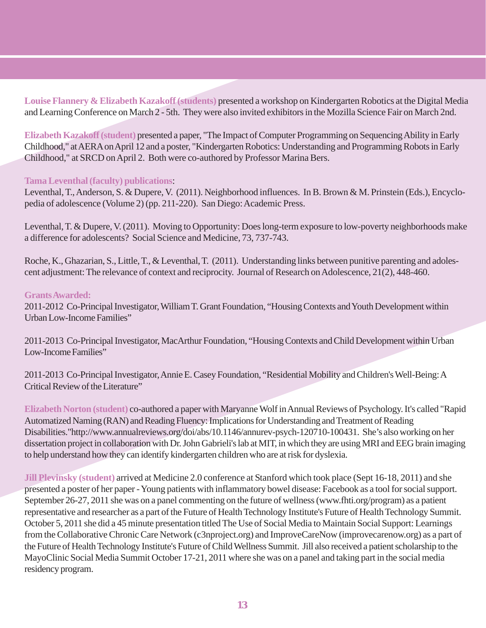**Louise Flannery & Elizabeth Kazakoff(students)** presented a workshop on Kindergarten Robotics at the Digital Media and Learning Conference on March 2 - 5th. They were also invited exhibitors in the Mozilla Science Fair on March 2nd.

**Elizabeth Kazakoff (student)** presented a paper, "The Impact of Computer Programming on Sequencing Ability in Early Childhood," at AERA on April 12 and a poster, "Kindergarten Robotics: Understanding and Programming Robots in Early Childhood," at SRCD on April 2. Both were co-authored by Professor Marina Bers.

#### **Tama Leventhal (faculty) publications**:

Leventhal, T., Anderson, S. & Dupere, V. (2011). Neighborhood influences. In B. Brown & M. Prinstein (Eds.), Encyclopedia of adolescence (Volume 2) (pp. 211-220). San Diego: Academic Press.

Leventhal, T. & Dupere, V. (2011). Moving to Opportunity: Does long-term exposure to low-poverty neighborhoods make a difference for adolescents? Social Science and Medicine, 73, 737-743.

Roche, K., Ghazarian, S., Little, T., & Leventhal, T. (2011). Understanding links between punitive parenting and adolescent adjustment: The relevance of context and reciprocity. Journal of Research on Adolescence, 21(2), 448-460.

#### **Grants Awarded:**

2011-2012 Co-Principal Investigator, William T. Grant Foundation, "Housing Contexts and Youth Development within Urban Low-Income Families"

2011-2013 Co-Principal Investigator, MacArthur Foundation, "Housing Contexts and Child Development within Urban Low-Income Families"

2011-2013 Co-Principal Investigator, Annie E. Casey Foundation, "Residential Mobility and Children's Well-Being: A Critical Review of the Literature"

**Elizabeth Norton (student)** co-authored a paper with Maryanne Wolf in Annual Reviews of Psychology. It's called "Rapid Automatized Naming (RAN) and Reading Fluency: Implications for Understanding and Treatment of Reading Disabilities."http://www.annualreviews.org/doi/abs/10.1146/annurev-psych-120710-100431. She's also working on her dissertation project in collaboration with Dr. John Gabrieli's lab at MIT, in which they are using MRI and EEG brain imaging to help understand how they can identify kindergarten children who are at risk for dyslexia.

**Jill Plevinsky (student)** arrived at Medicine 2.0 conference at Stanford which took place (Sept 16-18, 2011) and she presented a poster of her paper - Young patients with inflammatory bowel disease: Facebook as a tool for social support. September 26-27, 2011 she was on a panel commenting on the future of wellness (www.fhti.org/program) as a patient representative and researcher as a part of the Future of Health Technology Institute's Future of Health Technology Summit. October 5, 2011 she did a 45 minute presentation titled The Use of Social Media to Maintain Social Support: Learnings from the Collaborative Chronic Care Network (c3nproject.org) and ImproveCareNow (improvecarenow.org) as a part of the Future of Health Technology Institute's Future of Child Wellness Summit. Jill also received a patient scholarship to the MayoClinic Social Media Summit October 17-21, 2011 where she was on a panel and taking part in the social media residency program.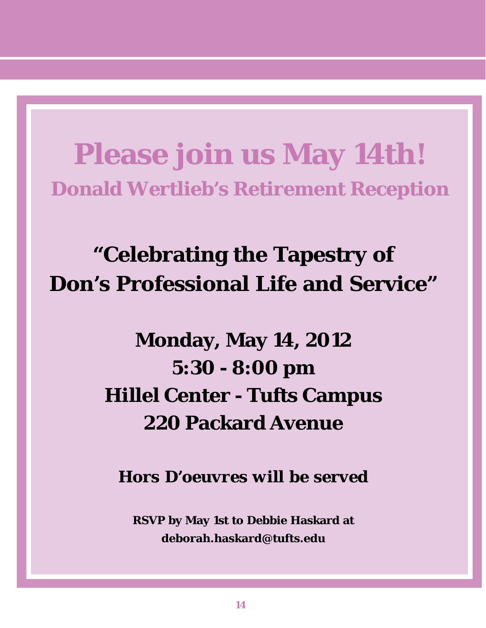**Please join us May 14th! Donald Wertlieb's Retirement Reception**

**"Celebrating the Tapestry of Don's Professional Life and Service"**

> **Monday, May 14, 2012 5:30 - 8:00 pm Hillel Center - Tufts Campus 220 Packard Avenue**

*Hors D'oeuvres will be served*

**RSVP by May 1st to Debbie Haskard at deborah.haskard@tufts.edu**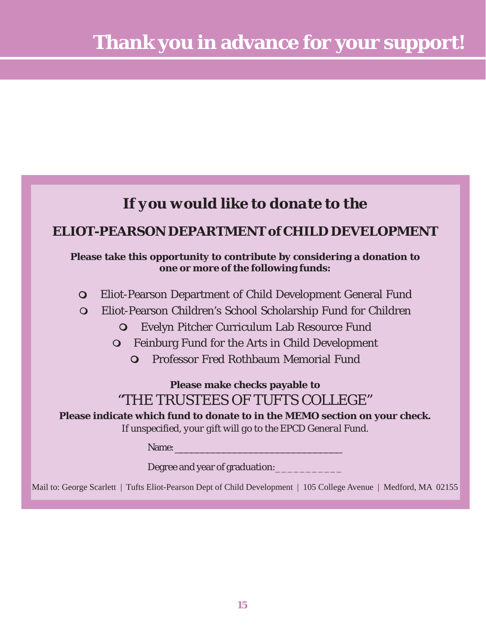### *If you would like to donate to the*

### **ELIOT-PEARSON DEPARTMENT of CHILD DEVELOPMENT**

#### **Please take this opportunity to contribute by considering a donation to one or more of the following funds:**

- Eliot-Pearson Department of Child Development General Fund
- Eliot-Pearson Children's School Scholarship Fund for Children
	- Evelyn Pitcher Curriculum Lab Resource Fund
	- Feinburg Fund for the Arts in Child Development
		- Professor Fred Rothbaum Memorial Fund

### **Please make checks payable to** "THE TRUSTEES OF TUFTS COLLEGE"

**Please indicate which fund to donate to in the MEMO section on your check.** *If unspecified, your gift will go to the EPCD General Fund.*

Name:

Degree and year of graduation:

Mail to: George Scarlett | Tufts Eliot-Pearson Dept of Child Development | 105 College Avenue | Medford, MA 02155